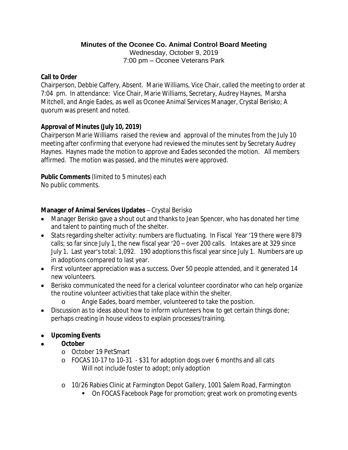## **Minutes of the Oconee Co. Animal Control Board Meeting**

Wednesday, October 9, 2019 7:00 pm – Oconee Veterans Park

## **Call to Order**

Chairperson, Debbie Caffery, Absent. Marie Williams, Vice Chair, called the meeting to order at 7:04 pm. In attendance: Vice Chair, Marie Williams, Secretary, Audrey Haynes, Marsha Mitchell, and Angie Eades, as well as Oconee Animal Services Manager, Crystal Berisko; A quorum was present and noted.

# **Approval of Minutes (July 10, 2019)**

Chairperson Marie Williams raised the review and approval of the minutes from the July 10 meeting after confirming that everyone had reviewed the minutes sent by Secretary Audrey Haynes. Haynes made the motion to approve and Eades seconded the motion. All members affirmed. The motion was passed, and the minutes were approved.

## **Public Comments** (limited to 5 minutes) each

No public comments.

# **Manager of Animal Services Updates** – Crystal Berisko

- Manager Berisko gave a shout out and thanks to Jean Spencer, who has donated her time and talent to painting much of the shelter.
- Stats regarding shelter activity: numbers are fluctuating. In Fiscal Year '19 there were 879 calls; so far since July 1, the new fiscal year '20 – over 200 calls. Intakes are at 329 since July 1. Last year's total: 1,092. 190 adoptions this fiscal year since July 1. Numbers are up in adoptions compared to last year.
- First volunteer appreciation was a success. Over 50 people attended, and it generated 14 new volunteers.
- Berisko communicated the need for a clerical volunteer coordinator who can help organize the routine volunteer activities that take place within the shelter.
	- o Angie Eades, board member, volunteered to take the position.
- Discussion as to ideas about how to inform volunteers how to get certain things done; perhaps creating in house videos to explain processes/training.

# **Upcoming Events**

- **October**
	- o October 19 PetSmart
	- o FOCAS 10-17 to 10-31 \$31 for adoption dogs over 6 months and all cats Will not include foster to adopt; only adoption
	- o 10/26 Rabies Clinic at Farmington Depot Gallery, 1001 Salem Road, Farmington
		- **DI FOCAS Facebook Page for promotion; great work on promoting events**